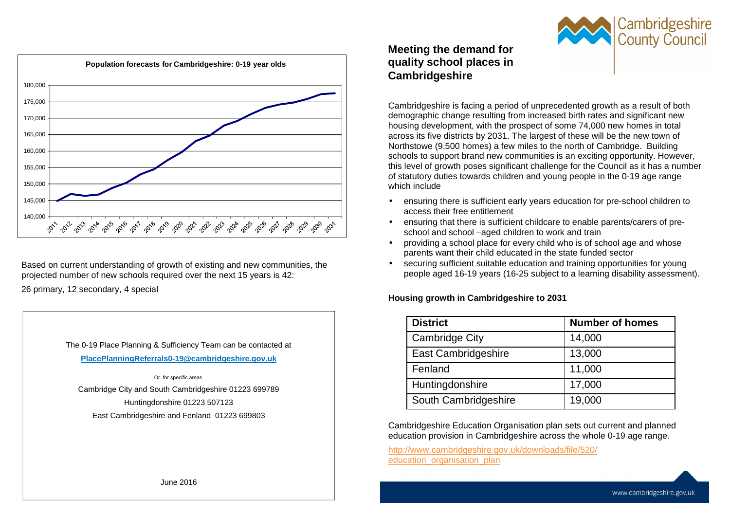

Based on current understanding of growth of existing and new communities, the projected number of new schools required over the next 15 years is 42:

26 primary, 12 secondary, 4 special

The 0-19 Place Planning & Sufficiency Team can be contacted at **PlacePlanningReferrals0-19@cambridgeshire.gov.uk** 

 Or for specific areas Cambridge City and South Cambridgeshire 01223 699789 Huntingdonshire 01223 507123 East Cambridgeshire and Fenland 01223 699803

# **Meeting the demand for quality school places in Cambridgeshire**

Cambridgeshire is facing a period of unprecedented growth as a result of both demographic change resulting from increased birth rates and significant new housing development, with the prospect of some 74,000 new homes in total across its five districts by 2031. The largest of these will be the new town of Northstowe (9,500 homes) a few miles to the north of Cambridge. Building schools to support brand new communities is an exciting opportunity. However, this level of growth poses significant challenge for the Council as it has a number of statutory duties towards children and young people in the 0-19 age range which include

- ensuring there is sufficient early years education for pre-school children to access their free entitlement
- ensuring that there is sufficient childcare to enable parents/carers of preschool and school –aged children to work and train
- providing a school place for every child who is of school age and whose parents want their child educated in the state funded sector
- securing sufficient suitable education and training opportunities for young people aged 16-19 years (16-25 subject to a learning disability assessment).

### **Housing growth in Cambridgeshire to 2031**

| <b>District</b>       | <b>Number of homes</b> |
|-----------------------|------------------------|
| <b>Cambridge City</b> | 14,000                 |
| East Cambridgeshire   | 13,000                 |
| Fenland               | 11,000                 |
| Huntingdonshire       | 17,000                 |
| South Cambridgeshire  | 19,000                 |

Cambridgeshire Education Organisation plan sets out current and planned education provision in Cambridgeshire across the whole 0-19 age range.

http://www.cambridgeshire.gov.uk/downloads/file/520/education organisation plan

June 2016

**Cambridgeshire**<br>County Council